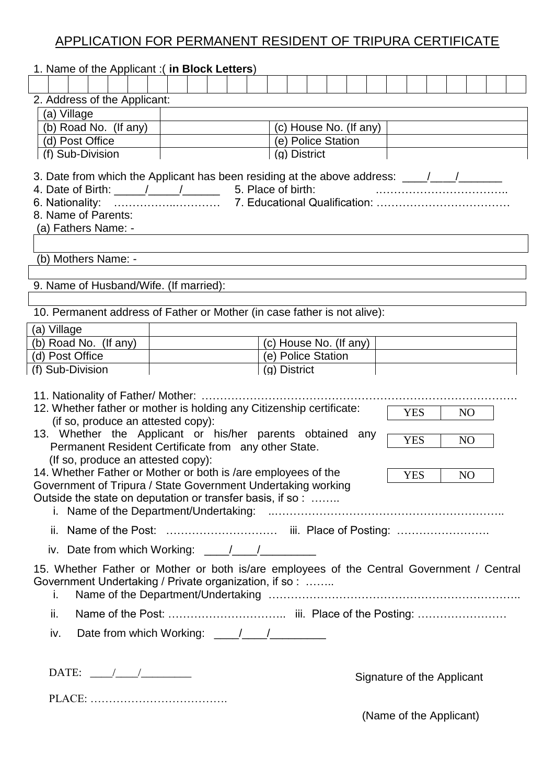# APPLICATION FOR PERMANENT RESIDENT OF TRIPURA CERTIFICATE

| 1. Name of the Applicant :( in Block Letters)                                                                                                                                                                                                                                                                                                                                                                            |  |                        |  |                        |  |  |  |  |  |                            |  |  |  |  |  |
|--------------------------------------------------------------------------------------------------------------------------------------------------------------------------------------------------------------------------------------------------------------------------------------------------------------------------------------------------------------------------------------------------------------------------|--|------------------------|--|------------------------|--|--|--|--|--|----------------------------|--|--|--|--|--|
|                                                                                                                                                                                                                                                                                                                                                                                                                          |  |                        |  |                        |  |  |  |  |  |                            |  |  |  |  |  |
| 2. Address of the Applicant:                                                                                                                                                                                                                                                                                                                                                                                             |  |                        |  |                        |  |  |  |  |  |                            |  |  |  |  |  |
| (a) Village                                                                                                                                                                                                                                                                                                                                                                                                              |  |                        |  |                        |  |  |  |  |  |                            |  |  |  |  |  |
| (b) Road No. (If any)                                                                                                                                                                                                                                                                                                                                                                                                    |  | (c) House No. (If any) |  |                        |  |  |  |  |  |                            |  |  |  |  |  |
| (d) Post Office                                                                                                                                                                                                                                                                                                                                                                                                          |  | (e) Police Station     |  |                        |  |  |  |  |  |                            |  |  |  |  |  |
| (f) Sub-Division<br>(g) District                                                                                                                                                                                                                                                                                                                                                                                         |  |                        |  |                        |  |  |  |  |  |                            |  |  |  |  |  |
| 3. Date from which the Applicant has been residing at the above address: ___/__/___/______<br>4. Date of Birth: $\frac{1}{\sqrt{1-\frac{1}{1-\frac{1}{1-\cdots}}}}$ 5. Place of birth:<br>8. Name of Parents:<br>(a) Fathers Name: -                                                                                                                                                                                     |  |                        |  |                        |  |  |  |  |  |                            |  |  |  |  |  |
|                                                                                                                                                                                                                                                                                                                                                                                                                          |  |                        |  |                        |  |  |  |  |  |                            |  |  |  |  |  |
| (b) Mothers Name: -                                                                                                                                                                                                                                                                                                                                                                                                      |  |                        |  |                        |  |  |  |  |  |                            |  |  |  |  |  |
| 9. Name of Husband/Wife. (If married):                                                                                                                                                                                                                                                                                                                                                                                   |  |                        |  |                        |  |  |  |  |  |                            |  |  |  |  |  |
|                                                                                                                                                                                                                                                                                                                                                                                                                          |  |                        |  |                        |  |  |  |  |  |                            |  |  |  |  |  |
| 10. Permanent address of Father or Mother (in case father is not alive):                                                                                                                                                                                                                                                                                                                                                 |  |                        |  |                        |  |  |  |  |  |                            |  |  |  |  |  |
| (a) Village                                                                                                                                                                                                                                                                                                                                                                                                              |  |                        |  |                        |  |  |  |  |  |                            |  |  |  |  |  |
| (b) Road No. (If any)                                                                                                                                                                                                                                                                                                                                                                                                    |  |                        |  | (c) House No. (If any) |  |  |  |  |  |                            |  |  |  |  |  |
| (d) Post Office                                                                                                                                                                                                                                                                                                                                                                                                          |  |                        |  | (e) Police Station     |  |  |  |  |  |                            |  |  |  |  |  |
| (f) Sub-Division                                                                                                                                                                                                                                                                                                                                                                                                         |  |                        |  | (g) District           |  |  |  |  |  |                            |  |  |  |  |  |
| 12. Whether father or mother is holding any Citizenship certificate:<br><b>YES</b><br>N <sub>O</sub><br>(if so, produce an attested copy):<br>13. Whether the Applicant or his/her parents obtained any<br><b>YES</b><br>N <sub>O</sub><br>Permanent Resident Certificate from any other State.<br>(If so, produce an attested copy):<br>14. Whether Father or Mother or both is /are employees of the                   |  |                        |  |                        |  |  |  |  |  |                            |  |  |  |  |  |
| $\overline{Y}ES$  <br>NO<br>Government of Tripura / State Government Undertaking working                                                                                                                                                                                                                                                                                                                                 |  |                        |  |                        |  |  |  |  |  |                            |  |  |  |  |  |
| Outside the state on deputation or transfer basis, if so :                                                                                                                                                                                                                                                                                                                                                               |  |                        |  |                        |  |  |  |  |  |                            |  |  |  |  |  |
|                                                                                                                                                                                                                                                                                                                                                                                                                          |  |                        |  |                        |  |  |  |  |  |                            |  |  |  |  |  |
|                                                                                                                                                                                                                                                                                                                                                                                                                          |  |                        |  |                        |  |  |  |  |  |                            |  |  |  |  |  |
| 15. Whether Father or Mother or both is/are employees of the Central Government / Central<br>Government Undertaking / Private organization, if so:<br>i.                                                                                                                                                                                                                                                                 |  |                        |  |                        |  |  |  |  |  |                            |  |  |  |  |  |
| ii.                                                                                                                                                                                                                                                                                                                                                                                                                      |  |                        |  |                        |  |  |  |  |  |                            |  |  |  |  |  |
| iv.                                                                                                                                                                                                                                                                                                                                                                                                                      |  |                        |  |                        |  |  |  |  |  |                            |  |  |  |  |  |
| DATE: $\frac{1}{\sqrt{1-\frac{1}{2}}}\frac{1}{\sqrt{1-\frac{1}{2}}}\frac{1}{\sqrt{1-\frac{1}{2}}}\frac{1}{\sqrt{1-\frac{1}{2}}}\frac{1}{\sqrt{1-\frac{1}{2}}}\frac{1}{\sqrt{1-\frac{1}{2}}}\frac{1}{\sqrt{1-\frac{1}{2}}}\frac{1}{\sqrt{1-\frac{1}{2}}}\frac{1}{\sqrt{1-\frac{1}{2}}}\frac{1}{\sqrt{1-\frac{1}{2}}}\frac{1}{\sqrt{1-\frac{1}{2}}}\frac{1}{\sqrt{1-\frac{1}{2}}}\frac{1}{\sqrt{1-\frac{1}{2}}}\frac{1}{\$ |  |                        |  |                        |  |  |  |  |  | Signature of the Applicant |  |  |  |  |  |
|                                                                                                                                                                                                                                                                                                                                                                                                                          |  |                        |  |                        |  |  |  |  |  | (Name of the Applicant)    |  |  |  |  |  |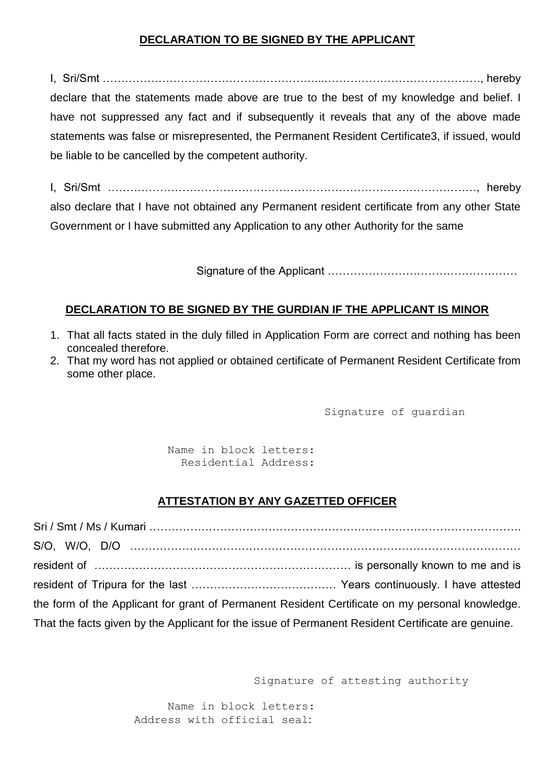## **DECLARATION TO BE SIGNED BY THE APPLICANT**

I, Sri/Smt …………………………………………………...……………………………………, hereby declare that the statements made above are true to the best of my knowledge and belief. I have not suppressed any fact and if subsequently it reveals that any of the above made statements was false or misrepresented, the Permanent Resident Certificate3, if issued, would be liable to be cancelled by the competent authority.

I, Sri/Smt ………………………………………………………………………………………, hereby also declare that I have not obtained any Permanent resident certificate from any other State Government or I have submitted any Application to any other Authority for the same

Signature of the Applicant ……………………………………………

#### **DECLARATION TO BE SIGNED BY THE GURDIAN IF THE APPLICANT IS MINOR**

- 1. That all facts stated in the duly filled in Application Form are correct and nothing has been concealed therefore.
- 2. That my word has not applied or obtained certificate of Permanent Resident Certificate from some other place.

Signature of guardian

Name in block letters: Residential Address:

### **ATTESTATION BY ANY GAZETTED OFFICER**

| the form of the Applicant for grant of Permanent Resident Certificate on my personal knowledge.    |  |
|----------------------------------------------------------------------------------------------------|--|
| That the facts given by the Applicant for the issue of Permanent Resident Certificate are genuine. |  |

Signature of attesting authority

Name in block letters: Address with official seal: